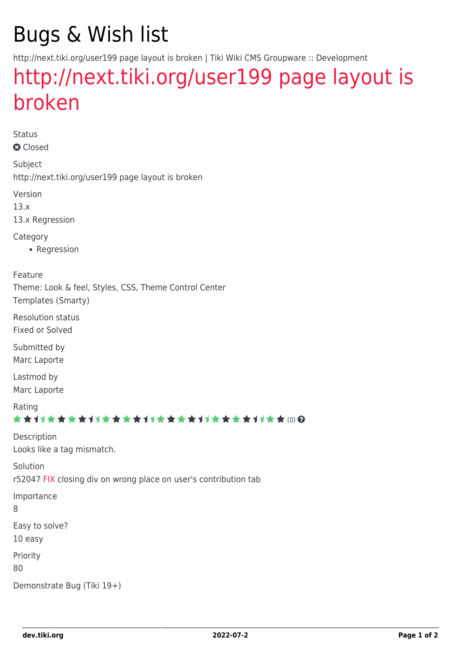# Bugs & Wish list

http://next.tiki.org/user199 page layout is broken | Tiki Wiki CMS Groupware :: Development

## [http://next.tiki.org/user199 page layout is](https://dev.tiki.org/item5298-http-next-tiki-org-user199-page-layout-is-broken) [broken](https://dev.tiki.org/item5298-http-next-tiki-org-user199-page-layout-is-broken)

Status **O** Closed

Subject http://next.tiki.org/user199 page layout is broken

Version

13.x

13.x Regression

**Category** 

• Regression

Feature

Theme: Look & feel, Styles, CSS, Theme Control Center Templates (Smarty)

Resolution status Fixed or Solved

Submitted by Marc Laporte

Lastmod by Marc Laporte

Rating

#### \*\*\*\*\*\*\*\*\*\*\*\*\*\*\*\*\*\*\*\*\*\*\*\*\*\*\*\*\*\*

Description Looks like a tag mismatch.

Solution

r52047 [FIX](https://dev.tiki.org/FIX) closing div on wrong place on user's contribution tab

Importance

8

Easy to solve?

10 easy

Priority

80

Demonstrate Bug (Tiki 19+)